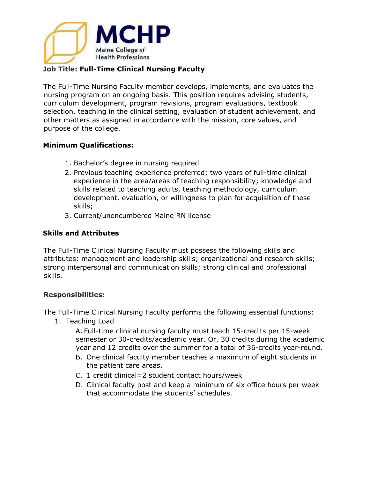

## **Job Title: Full-Time Clinical Nursing Faculty**

The Full-Time Nursing Faculty member develops, implements, and evaluates the nursing program on an ongoing basis. This position requires advising students, curriculum development, program revisions, program evaluations, textbook selection, teaching in the clinical setting, evaluation of student achievement, and other matters as assigned in accordance with the mission, core values, and purpose of the college.

## **Minimum Qualifications:**

- 1. Bachelor's degree in nursing required
- 2. Previous teaching experience preferred; two years of full-time clinical experience in the area/areas of teaching responsibility; knowledge and skills related to teaching adults, teaching methodology, curriculum development, evaluation, or willingness to plan for acquisition of these skills;
- 3. Current/unencumbered Maine RN license

## **Skills and Attributes**

The Full-Time Clinical Nursing Faculty must possess the following skills and attributes: management and leadership skills; organizational and research skills; strong interpersonal and communication skills; strong clinical and professional skills.

## **Responsibilities:**

The Full-Time Clinical Nursing Faculty performs the following essential functions:

1. Teaching Load

A. Full-time clinical nursing faculty must teach 15-credits per 15-week semester or 30-credits/academic year. Or, 30 credits during the academic year and 12 credits over the summer for a total of 36-credits year-round.

- B. One clinical faculty member teaches a maximum of eight students in the patient care areas.
- C. 1 credit clinical=2 student contact hours/week
- D. Clinical faculty post and keep a minimum of six office hours per week that accommodate the students' schedules.